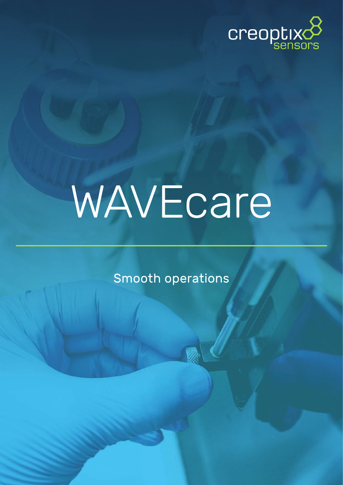

# WAVEcare

Smooth operations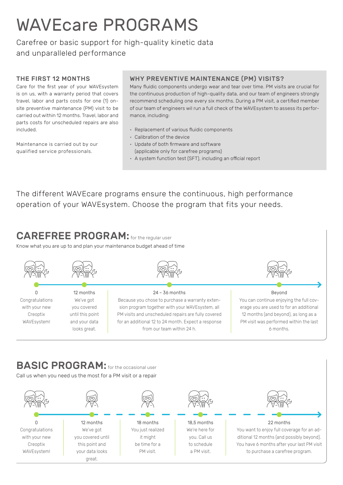## WAVEcare PROGRAMS

Carefree or basic support for high-quality kinetic data and unparalleled performance

#### THE FIRST 12 MONTHS

Care for the first year of your WAVEsystem is on us, with a warranty period that covers travel, labor and parts costs for one (1) onsite preventive maintenance (PM) visit to be carried out within 12 months. Travel, labor and parts costs for unscheduled repairs are also included.

Maintenance is carried out by our qualified service professionals.

with your new Creoptix WAVEsystem!

#### WHY PREVENTIVE MAINTENANCE (PM) VISITS?

Many fluidic components undergo wear and tear over time. PM visits are crucial for the continuous production of high-quality data, and our team of engineers strongly recommend scheduling one every six months. During a PM visit, a certified member of our team of engineers wil run a full check of the WAVEsystem to assess its performance, including:

- Replacement of various fluidic components
- Calibration of the device
- Update of both firmware and software (applicable only for carefree programs)
- A system function test (SFT), including an official report

The different WAVEcare programs ensure the continuous, high performance operation of your WAVEsystem. Choose the program that fits your needs.

## CAREFREE PROGRAM: for the regular user

you covered until this point and your data looks great.

Know what you are up to and plan your maintenance budget ahead of time



you. Call us to schedule a PM visit.

it might be time for a PM visit.

You want to enjoy full coverage for an additional 12 months (and possibly beyond). You have 6 months after your last PM visit to purchase a carefree program.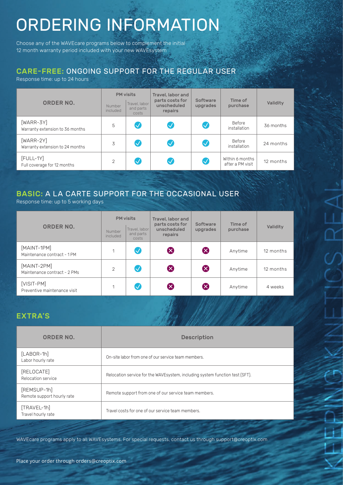# ORDERING INFORMATION

Choose any of the WAVEcare programs below to complement the initial 12 month warranty period included with your new WAVEsystem

#### CARE-FREE: ONGOING SUPPORT FOR THE REGULAR USER

Response time: up to 24 hours

| <b>ORDER NO.</b>                               | Number<br>included | <b>PM</b> visits<br>Travel, labor<br>and parts<br>costs | Travel, labor and<br>parts costs for<br>unscheduled<br>repairs | Software<br>upgrades | Time of<br>purchase                 | Validity  |
|------------------------------------------------|--------------------|---------------------------------------------------------|----------------------------------------------------------------|----------------------|-------------------------------------|-----------|
| $[WARR-3Y]$<br>Warranty extension to 36 months | 5                  | $\bigvee$                                               |                                                                |                      | Before<br>installation              | 36 months |
| $[WARR-2Y]$<br>Warranty extension to 24 months | 3                  | $\sqrt{}$                                               |                                                                |                      | Before<br>installation              | 24 months |
| $[$ FULL-1Y $]$<br>Full coverage for 12 months | 2                  | $\checkmark$                                            |                                                                |                      | Within 6 months<br>after a PM visit | 12 months |

#### BASIC: A LA CARTE SUPPORT FOR THE OCCASIONAL USER

Response time: up to 5 working days

| <b>ORDER NO.</b>                            | Number<br>included | <b>PM</b> visits<br>Travel, labor<br>and parts<br>costs | Travel, labor and<br>parts costs for<br>unscheduled<br>repairs | Software<br>upgrades    | Time of<br>purchase | Validity  |
|---------------------------------------------|--------------------|---------------------------------------------------------|----------------------------------------------------------------|-------------------------|---------------------|-----------|
| [MAINT-1PM]<br>Maintenance contract - 1 PM  | 1                  | $\boldsymbol{\mathcal{S}}$                              | $\boldsymbol{\mathsf{X}}$                                      | (X)                     | Anytime             | 12 months |
| [MAINT-2PM]<br>Maintenance contract - 2 PMs | $\overline{2}$     | $\backslash\!\!\!\backslash$                            | $\boldsymbol{\mathsf{X}}$                                      | $\left( \times \right)$ | Anytime             | 12 months |
| [VISIT-PM]<br>Preventive maintenance visit  | 1                  | $\backslash\!/$                                         | $\bm{\mathsf{X}}$                                              |                         | Anytime             | 4 weeks   |

#### EXTRA'S

| ORDER NO.                                 | <b>Description</b>                                                            |
|-------------------------------------------|-------------------------------------------------------------------------------|
| $[LABOR-1h]$<br>Labor hourly rate         | On-site labor from one of our service team members.                           |
| [RELOCATE]<br>Relocation service          | Relocation service for the WAVE system, including system function test (SFT). |
| [REMSUP-1h]<br>Remote support hourly rate | Remote support from one of our service team members.                          |
| [TRAVEL-1h]<br>Travel hourly rate         | Travel costs for one of our service team members.                             |

WAVEcare programs apply to all WAVEsystems. For special requests, contact us through support@creoptix.com